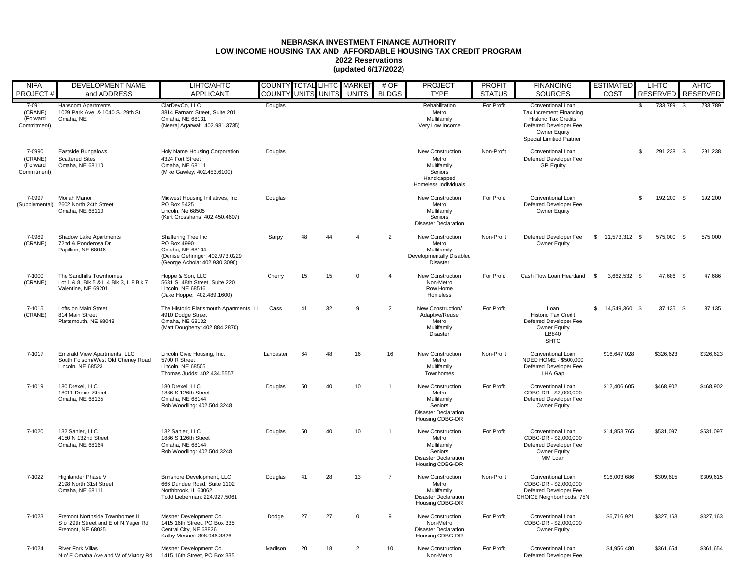## **NEBRASKA INVESTMENT FINANCE AUTHORITY LOW INCOME HOUSING TAX AND AFFORDABLE HOUSING TAX CREDIT PROGRAM 2022 Reservations (updated 6/17/2022)**

| <b>NIFA</b>                                  | DEVELOPMENT NAME                                                                            | LIHTC/AHTC                                                                                                                |           | COUNTY TOTAL LIHTC MARKET |    |                | # $OF$         | <b>PROJECT</b>                                                                                        | <b>PROFIT</b> | <b>FINANCING</b>                                                                                                                                         | ESTIMATED           |      | <b>LIHTC</b>    | AHTC            |           |
|----------------------------------------------|---------------------------------------------------------------------------------------------|---------------------------------------------------------------------------------------------------------------------------|-----------|---------------------------|----|----------------|----------------|-------------------------------------------------------------------------------------------------------|---------------|----------------------------------------------------------------------------------------------------------------------------------------------------------|---------------------|------|-----------------|-----------------|-----------|
| PROJECT#                                     | and ADDRESS                                                                                 | <b>APPLICANT</b>                                                                                                          |           | COUNTY UNITS UNITS        |    | <b>UNITS</b>   | <b>BLDGS</b>   | <b>TYPE</b>                                                                                           | <b>STATUS</b> | <b>SOURCES</b>                                                                                                                                           | COST                |      | <b>RESERVED</b> | <b>RESERVED</b> |           |
| 7-0911<br>(CRANE)<br>(Forward<br>Commitment) | <b>Hanscom Apartments</b><br>1029 Park Ave. & 1040 S. 29th St.<br>Omaha, NE                 | ClarDevCo, LLC<br>3814 Farnam Street, Suite 201<br>Omaha, NE 68131<br>(Neeraj Agarwal: 402.981.3735)                      | Douglas   |                           |    |                |                | Rehabilitation<br>Metro<br>Multifamily<br>Very Low Income                                             | For Profit    | Conventional Loan<br>Tax Increment Financing<br><b>Historic Tax Credits</b><br>Deferred Developer Fee<br>Owner Equity<br><b>Special Limitied Partner</b> |                     | - \$ | 733,789         | - \$            | 733,789   |
| 7-0990<br>(CRANE)<br>(Forward<br>Commitment) | Eastside Bungalows<br><b>Scattered Sites</b><br>Omaha, NE 68110                             | Holy Name Housing Corporation<br>4324 Fort Street<br>Omaha, NE 68111<br>(Mike Gawley: 402.453.6100)                       | Douglas   |                           |    |                |                | New Construction<br>Metro<br>Multifamily<br>Seniors<br>Handicapped<br>Homeless Individuals            | Non-Profit    | Conventional Loan<br>Deferred Developer Fee<br><b>GP Equity</b>                                                                                          |                     | \$   | 291,238 \$      |                 | 291,238   |
| 7-0997<br>(Supplemental)                     | <b>Moriah Manor</b><br>2602 North 24th Street<br>Omaha, NE 68110                            | Midwest Housing Initiatives, Inc.<br>PO Box 5425<br>Lincoln, Ne 68505<br>(Kurt Grosshans: 402.450.4607)                   | Douglas   |                           |    |                |                | New Construction<br>Metro<br>Multifamily<br>Seniors<br><b>Disaster Declaration</b>                    | For Profit    | Conventional Loan<br>Deferred Developer Fee<br>Owner Equity                                                                                              |                     | \$.  | 192,200 \$      |                 | 192,200   |
| 7-0989<br>(CRANE)                            | Shadow Lake Apartments<br>72nd & Ponderosa Dr<br>Papillion, NE 68046                        | Sheltering Tree Inc<br>PO Box 4990<br>Omaha, NE 68104<br>(Denise Gehringer: 402.973.0229<br>(George Achola: 402.930.3090) | Sarpy     | 48                        | 44 | $\overline{4}$ | $\overline{2}$ | New Construction<br>Metro<br>Multifamily<br>Developmentally Disabled<br><b>Disaster</b>               | Non-Profit    | Deferred Developer Fee<br>Owner Equity                                                                                                                   | $$11,573,312$ \$    |      | 575,000 \$      |                 | 575,000   |
| 7-1000<br>(CRANE)                            | The Sandhills Townhomes<br>Lot 1 & 8, Blk 5 & L 4 Blk 3, L 8 Blk 7<br>Valentine, NE 69201   | Hoppe & Son, LLC<br>5631 S. 48th Street, Suite 220<br>Lincoln, NE 68516<br>(Jake Hoppe: 402.489.1600)                     | Cherry    | 15                        | 15 | $\Omega$       | $\overline{4}$ | New Construction<br>Non-Metro<br>Row Home<br>Homeless                                                 | For Profit    | Cash Flow Loan Heartland \$                                                                                                                              | 3,662,532 \$        |      | 47,686 \$       |                 | 47,686    |
| 7-1015<br>(CRANE)                            | Lofts on Main Street<br>814 Main Street<br>Plattsmouth, NE 68048                            | The Historic Plattsmouth Apartments, LL<br>4910 Dodge Street<br>Omaha, NE 68132<br>(Matt Dougherty: 402.884.2870)         | Cass      | 41                        | 32 | 9              | $\overline{2}$ | New Construction/<br>Adaptive/Reuse<br>Metro<br>Multifamily<br><b>Disaster</b>                        | For Profit    | Loan<br>Historic Tax Credit<br>Deferred Developer Fee<br><b>Owner Equity</b><br>LB840<br><b>SHTC</b>                                                     | 14,549,360 \$<br>S. |      | 37,135 \$       |                 | 37,135    |
| 7-1017                                       | Emerald View Apartments, LLC<br>South Folsom/West Old Cheney Road<br>Lincoln, NE 68523      | Lincoln Civic Housing, Inc.<br>5700 R Street<br>Lincoln. NE 68505<br>Thomas Judds: 402.434.5557                           | Lancaster | 64                        | 48 | 16             | 16             | New Construction<br>Metro<br>Multifamily<br>Townhomes                                                 | Non-Profit    | Conventional Loan<br>NDED HOME - \$500,000<br>Deferred Developer Fee<br>LHA Gap                                                                          | \$16,647,028        |      | \$326.623       |                 | \$326,623 |
| 7-1019                                       | 180 Drexel, LLC<br>18011 Drexel Street<br>Omaha, NE 68135                                   | 180 Drexel, LLC<br>1886 S 126th Street<br>Omaha, NE 68144<br>Rob Woodling: 402.504.3248                                   | Douglas   | 50                        | 40 | 10             | $\overline{1}$ | New Construction<br>Metro<br>Multifamily<br>Seniors<br><b>Disaster Declaration</b><br>Housing CDBG-DR | For Profit    | Conventional Loan<br>CDBG-DR - \$2,000,000<br>Deferred Developer Fee<br>Owner Equity                                                                     | \$12,406,605        |      | \$468,902       |                 | \$468,902 |
| 7-1020                                       | 132 Sahler, LLC<br>4150 N 132nd Street<br>Omaha, NE 68164                                   | 132 Sahler, LLC<br>1886 S 126th Street<br>Omaha, NE 68144<br>Rob Woodling: 402.504.3248                                   | Douglas   | 50                        | 40 | 10             | $\overline{1}$ | New Construction<br>Metro<br>Multifamily<br>Seniors<br><b>Disaster Declaration</b><br>Housing CDBG-DR | For Profit    | Conventional Loan<br>CDBG-DR - \$2,000,000<br>Deferred Developer Fee<br>Owner Equity<br>MM Loan                                                          | \$14,853,765        |      | \$531,097       |                 | \$531,097 |
| 7-1022                                       | Highlander Phase V<br>2198 North 31st Street<br>Omaha, NE 68111                             | Brinshore Development, LLC<br>666 Dundee Road, Suite 1102<br>Northbrook, IL 60062<br>Todd Lieberman: 224.927.5061         | Douglas   | 41                        | 28 | 13             | $\overline{7}$ | New Construction<br>Metro<br>Multifamily<br><b>Disaster Declaration</b><br>Housing CDBG-DR            | Non-Profit    | Conventional Loan<br>CDBG-DR - \$2,000,000<br>Deferred Developer Fee<br>CHOICE Neighborhoods, 75N                                                        | \$16,003,686        |      | \$309,615       |                 | \$309,615 |
| 7-1023                                       | Fremont Northside Townhomes II<br>S of 29th Street and E of N Yager Rd<br>Fremont, NE 68025 | Mesner Development Co.<br>1415 16th Street, PO Box 335<br>Central City, NE 68826<br>Kathy Mesner: 308.946.3826            | Dodge     | 27                        | 27 | $\mathbf 0$    | 9              | New Construction<br>Non-Metro<br><b>Disaster Declaration</b><br>Housing CDBG-DR                       | For Profit    | Conventional Loan<br>CDBG-DR - \$2,000,000<br>Owner Equity                                                                                               | \$6,716,921         |      | \$327,163       |                 | \$327,163 |
| 7-1024                                       | <b>River Fork Villas</b><br>N of E Omaha Ave and W of Victory Rd                            | Mesner Development Co.<br>1415 16th Street, PO Box 335                                                                    | Madison   | 20                        | 18 | $\overline{2}$ | 10             | <b>New Construction</b><br>Non-Metro                                                                  | For Profit    | Conventional Loan<br>Deferred Developer Fee                                                                                                              | \$4.956.480         |      | \$361.654       |                 | \$361.654 |